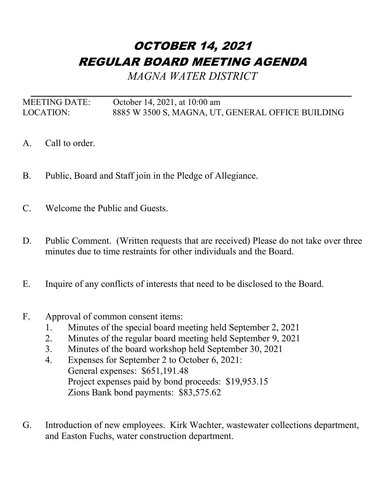## OCTOBER 14, 2021 REGULAR BOARD MEETING AGENDA

*MAGNA WATER DISTRICT*

*\_\_\_\_\_\_\_\_\_\_\_\_\_\_\_\_\_\_\_\_\_\_\_\_\_\_\_\_\_\_\_\_\_\_\_\_\_\_\_\_\_\_\_\_\_\_\_\_\_\_\_* MEETING DATE: October 14, 2021, at 10:00 am LOCATION: 8885 W 3500 S, MAGNA, UT, GENERAL OFFICE BUILDING

- A. Call to order.
- B. Public, Board and Staff join in the Pledge of Allegiance.
- C. Welcome the Public and Guests.
- D. Public Comment. (Written requests that are received) Please do not take over three minutes due to time restraints for other individuals and the Board.
- E. Inquire of any conflicts of interests that need to be disclosed to the Board.
- F. Approval of common consent items:
	- 1. Minutes of the special board meeting held September 2, 2021
	- 2. Minutes of the regular board meeting held September 9, 2021
	- 3. Minutes of the board workshop held September 30, 2021
	- 4. Expenses for September 2 to October 6, 2021: General expenses: \$651,191.48 Project expenses paid by bond proceeds: \$19,953.15 Zions Bank bond payments: \$83,575.62
- G. Introduction of new employees. Kirk Wachter, wastewater collections department, and Easton Fuchs, water construction department.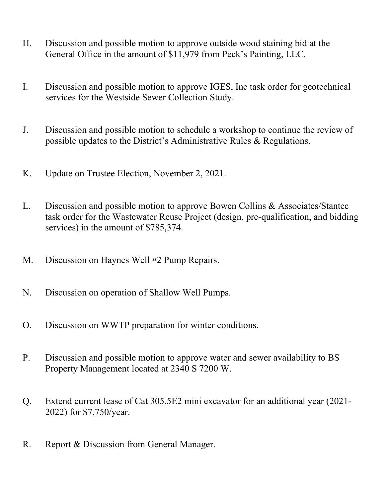- H. Discussion and possible motion to approve outside wood staining bid at the General Office in the amount of \$11,979 from Peck's Painting, LLC.
- I. Discussion and possible motion to approve IGES, Inc task order for geotechnical services for the Westside Sewer Collection Study.
- J. Discussion and possible motion to schedule a workshop to continue the review of possible updates to the District's Administrative Rules & Regulations.
- K. Update on Trustee Election, November 2, 2021.
- L. Discussion and possible motion to approve Bowen Collins & Associates/Stantec task order for the Wastewater Reuse Project (design, pre-qualification, and bidding services) in the amount of \$785,374.
- M. Discussion on Haynes Well #2 Pump Repairs.
- N. Discussion on operation of Shallow Well Pumps.
- O. Discussion on WWTP preparation for winter conditions.
- P. Discussion and possible motion to approve water and sewer availability to BS Property Management located at 2340 S 7200 W.
- Q. Extend current lease of Cat 305.5E2 mini excavator for an additional year (2021- 2022) for \$7,750/year.
- R. Report & Discussion from General Manager.